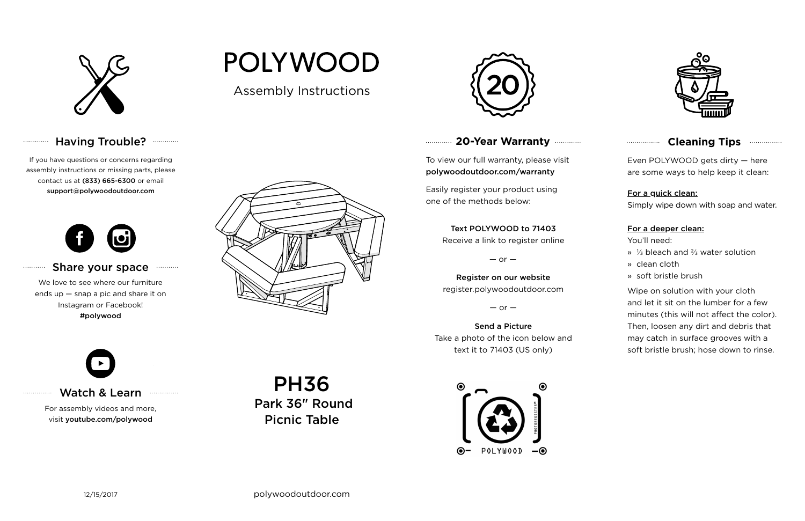

# Having Trouble? **Williams**

# **20-Year Warranty**

To view our full warranty, please visit polywoodoutdoor.com/warranty

Easily register your product using one of the methods below:

Even POLYWOOD gets dirty — here are some ways to help keep it clean:

For a quick clean:

Simply wipe down with soap and water.

#### For a deeper clean:

You'll need:

- » ⅓ bleach and ⅔ water solution
- » clean cloth
- » soft bristle brush

Wipe on solution with your cloth and let it sit on the lumber for a few minutes (this will not affect the color). Then, loosen any dirt and debris that may catch in surface grooves with a soft bristle brush; hose down to rinse.

#### Share your space . . . . . . . . . . .

#### Text POLYWOOD to 71403

Receive a link to register online

 $-$  or  $-$ 

Register on our website register.polywoodoutdoor.com

 $-$  or  $-$ 

Send a Picture Take a photo of the icon below and text it to 71403 (US only)





## **Cleaning Tips <b>Cleaning**</u>

### Watch & Learn

For assembly videos and more, visit youtube.com/polywood

If you have questions or concerns regarding assembly instructions or missing parts, please contact us at (833) 665-6300 or email support@polywoodoutdoor.com

. . . . . . . . . . . .

. . . . . . . . . . .

. . . . . . . . . . . . . . .



We love to see where our furniture ends up — snap a pic and share it on Instagram or Facebook! #polywood



Assembly Instructions

**POLYWOOD** 

PH36 Park 36" Round Picnic Table